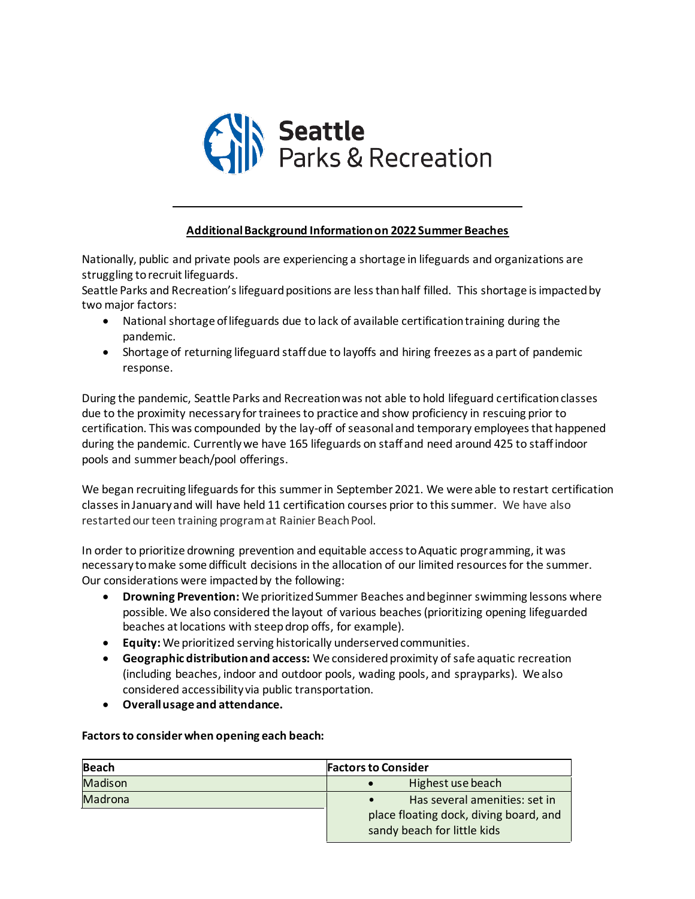

## **Additional Background Information on 2022 Summer Beaches**

Nationally, public and private pools are experiencing a shortage in lifeguards and organizations are struggling to recruit lifeguards.

Seattle Parks and Recreation's lifeguard positions are less than half filled.  This shortage is impacted by two major factors:

- National shortage of lifeguards due to lack of available certification training during the pandemic.
- Shortage of returning lifeguard staff due to layoffs and hiring freezes as a part of pandemic response.

During the pandemic, Seattle Parks and Recreation was not able to hold lifeguard certification classes due to the proximity necessary for trainees to practice and show proficiency in rescuing prior to certification. This was compounded by the lay-off of seasonal and temporary employees that happened during the pandemic. Currently we have 165 lifeguards on staff and need around 425 to staff indoor pools and summer beach/pool offerings.

We began recruiting lifeguards for this summer in September 2021. We were able to restart certification classes in January and will have held 11 certification courses prior to this summer. We have also restarted our teen training program at Rainier Beach Pool.

In order to prioritize drowning prevention and equitable access to Aquatic programming, it was necessary to make some difficult decisions in the allocation of our limited resources for the summer.  Our considerations were impacted by the following:

- **Drowning Prevention:** We prioritized Summer Beaches and beginner swimming lessons where possible. We also considered the layout of various beaches (prioritizing opening lifeguarded beaches at locations with steep drop offs, for example).
- **Equity:** We prioritized serving historically underserved communities.
- **Geographic distribution and access:** We considered proximity of safe aquatic recreation (including beaches, indoor and outdoor pools, wading pools, and sprayparks).  We also considered accessibility via public transportation.
- **Overall usage and attendance.**

**Factors to consider when opening each beach:**

| <b>Beach</b>   | <b>Factors to Consider</b>                                            |
|----------------|-----------------------------------------------------------------------|
| <b>Madison</b> | Highest use beach                                                     |
| Madrona        | Has several amenities: set in<br>$\bullet$                            |
|                | place floating dock, diving board, and<br>sandy beach for little kids |